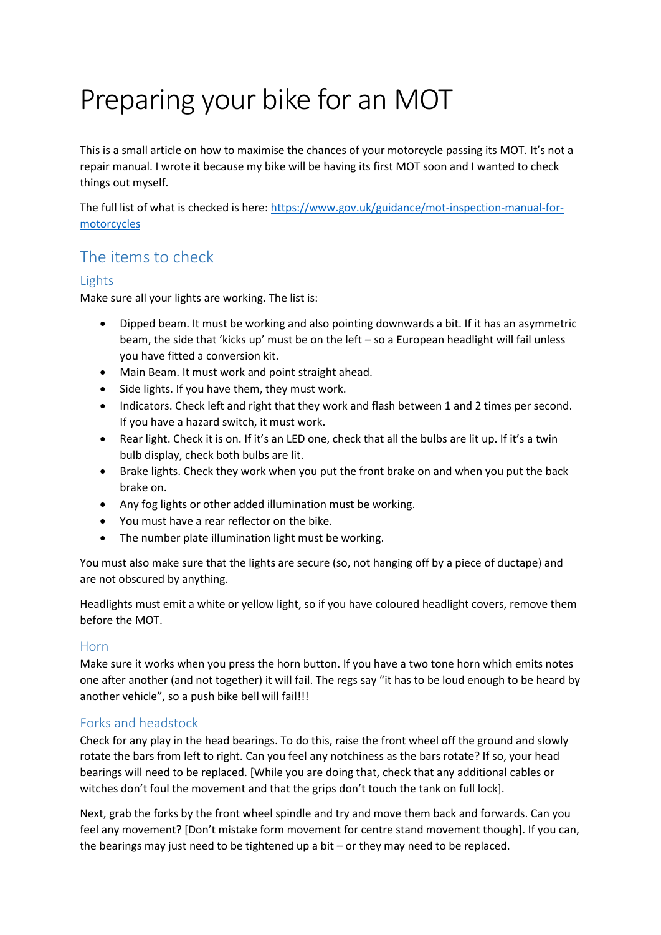# Preparing your bike for an MOT

This is a small article on how to maximise the chances of your motorcycle passing its MOT. It's not a repair manual. I wrote it because my bike will be having its first MOT soon and I wanted to check things out myself.

The full list of what is checked is here: [https://www.gov.uk/guidance/mot-inspection-manual-for](https://www.gov.uk/guidance/mot-inspection-manual-for-motorcycles)[motorcycles](https://www.gov.uk/guidance/mot-inspection-manual-for-motorcycles)

# The items to check

### Lights

Make sure all your lights are working. The list is:

- Dipped beam. It must be working and also pointing downwards a bit. If it has an asymmetric beam, the side that 'kicks up' must be on the left – so a European headlight will fail unless you have fitted a conversion kit.
- Main Beam. It must work and point straight ahead.
- Side lights. If you have them, they must work.
- Indicators. Check left and right that they work and flash between 1 and 2 times per second. If you have a hazard switch, it must work.
- Rear light. Check it is on. If it's an LED one, check that all the bulbs are lit up. If it's a twin bulb display, check both bulbs are lit.
- Brake lights. Check they work when you put the front brake on and when you put the back brake on.
- Any fog lights or other added illumination must be working.
- You must have a rear reflector on the bike.
- The number plate illumination light must be working.

You must also make sure that the lights are secure (so, not hanging off by a piece of ductape) and are not obscured by anything.

Headlights must emit a white or yellow light, so if you have coloured headlight covers, remove them before the MOT.

#### Horn

Make sure it works when you press the horn button. If you have a two tone horn which emits notes one after another (and not together) it will fail. The regs say "it has to be loud enough to be heard by another vehicle", so a push bike bell will fail!!!

## Forks and headstock

Check for any play in the head bearings. To do this, raise the front wheel off the ground and slowly rotate the bars from left to right. Can you feel any notchiness as the bars rotate? If so, your head bearings will need to be replaced. [While you are doing that, check that any additional cables or witches don't foul the movement and that the grips don't touch the tank on full lock].

Next, grab the forks by the front wheel spindle and try and move them back and forwards. Can you feel any movement? [Don't mistake form movement for centre stand movement though]. If you can, the bearings may just need to be tightened up a bit – or they may need to be replaced.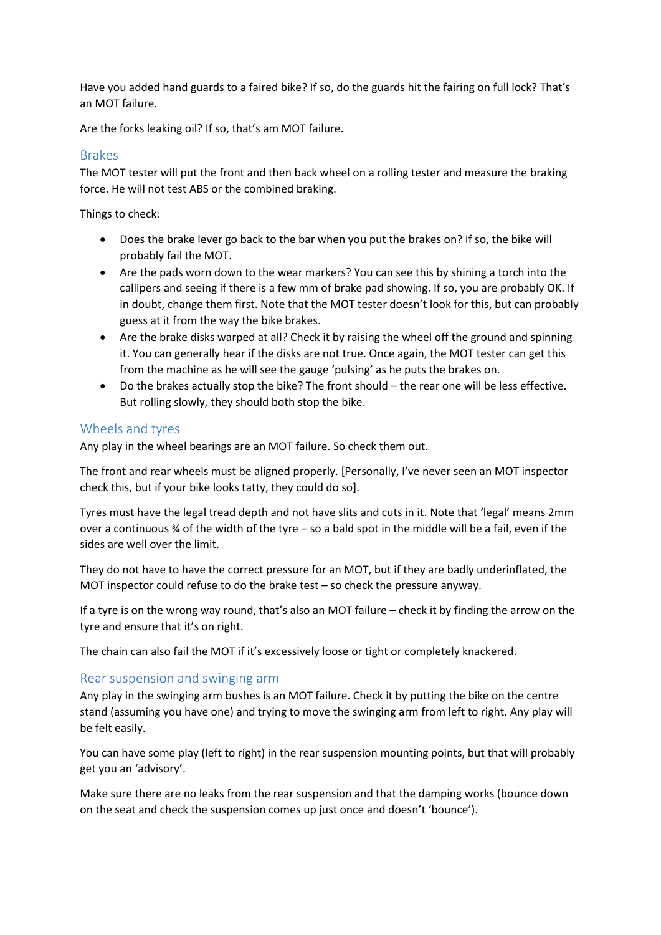Have you added hand guards to a faired bike? If so, do the guards hit the fairing on full lock? That's an MOT failure.

Are the forks leaking oil? If so, that's am MOT failure.

#### Brakes

The MOT tester will put the front and then back wheel on a rolling tester and measure the braking force. He will not test ABS or the combined braking.

Things to check:

- Does the brake lever go back to the bar when you put the brakes on? If so, the bike will probably fail the MOT.
- Are the pads worn down to the wear markers? You can see this by shining a torch into the callipers and seeing if there is a few mm of brake pad showing. If so, you are probably OK. If in doubt, change them first. Note that the MOT tester doesn't look for this, but can probably guess at it from the way the bike brakes.
- Are the brake disks warped at all? Check it by raising the wheel off the ground and spinning it. You can generally hear if the disks are not true. Once again, the MOT tester can get this from the machine as he will see the gauge 'pulsing' as he puts the brakes on.
- Do the brakes actually stop the bike? The front should the rear one will be less effective. But rolling slowly, they should both stop the bike.

#### Wheels and tyres

Any play in the wheel bearings are an MOT failure. So check them out.

The front and rear wheels must be aligned properly. [Personally, I've never seen an MOT inspector check this, but if your bike looks tatty, they could do so].

Tyres must have the legal tread depth and not have slits and cuts in it. Note that 'legal' means 2mm over a continuous ¾ of the width of the tyre – so a bald spot in the middle will be a fail, even if the sides are well over the limit.

They do not have to have the correct pressure for an MOT, but if they are badly underinflated, the MOT inspector could refuse to do the brake test – so check the pressure anyway.

If a tyre is on the wrong way round, that's also an MOT failure – check it by finding the arrow on the tyre and ensure that it's on right.

The chain can also fail the MOT if it's excessively loose or tight or completely knackered.

#### Rear suspension and swinging arm

Any play in the swinging arm bushes is an MOT failure. Check it by putting the bike on the centre stand (assuming you have one) and trying to move the swinging arm from left to right. Any play will be felt easily.

You can have some play (left to right) in the rear suspension mounting points, but that will probably get you an 'advisory'.

Make sure there are no leaks from the rear suspension and that the damping works (bounce down on the seat and check the suspension comes up just once and doesn't 'bounce').